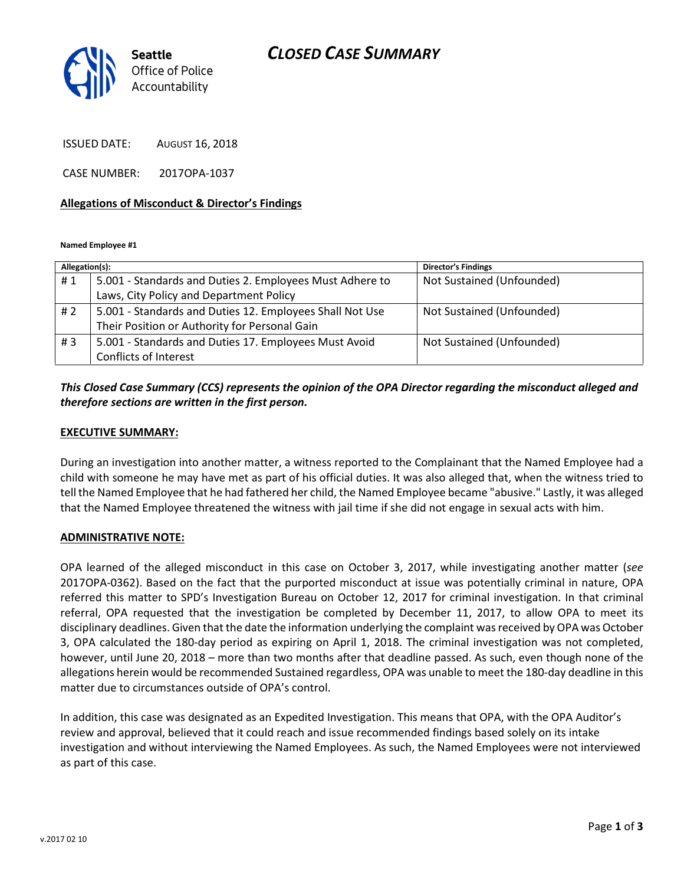## CLOSED CASE SUMMARY



ISSUED DATE: AUGUST 16, 2018

CASE NUMBER: 2017OPA-1037

#### Allegations of Misconduct & Director's Findings

Named Employee #1

| Allegation(s): |                                                          | <b>Director's Findings</b> |
|----------------|----------------------------------------------------------|----------------------------|
| #1             | 5.001 - Standards and Duties 2. Employees Must Adhere to | Not Sustained (Unfounded)  |
|                | Laws, City Policy and Department Policy                  |                            |
| #2             | 5.001 - Standards and Duties 12. Employees Shall Not Use | Not Sustained (Unfounded)  |
|                | Their Position or Authority for Personal Gain            |                            |
| #3             | 5.001 - Standards and Duties 17. Employees Must Avoid    | Not Sustained (Unfounded)  |
|                | Conflicts of Interest                                    |                            |

### This Closed Case Summary (CCS) represents the opinion of the OPA Director regarding the misconduct alleged and therefore sections are written in the first person.

#### EXECUTIVE SUMMARY:

During an investigation into another matter, a witness reported to the Complainant that the Named Employee had a child with someone he may have met as part of his official duties. It was also alleged that, when the witness tried to tell the Named Employee that he had fathered her child, the Named Employee became "abusive." Lastly, it was alleged that the Named Employee threatened the witness with jail time if she did not engage in sexual acts with him.

#### ADMINISTRATIVE NOTE:

OPA learned of the alleged misconduct in this case on October 3, 2017, while investigating another matter (see 2017OPA-0362). Based on the fact that the purported misconduct at issue was potentially criminal in nature, OPA referred this matter to SPD's Investigation Bureau on October 12, 2017 for criminal investigation. In that criminal referral, OPA requested that the investigation be completed by December 11, 2017, to allow OPA to meet its disciplinary deadlines. Given that the date the information underlying the complaint was received by OPA was October 3, OPA calculated the 180-day period as expiring on April 1, 2018. The criminal investigation was not completed, however, until June 20, 2018 – more than two months after that deadline passed. As such, even though none of the allegations herein would be recommended Sustained regardless, OPA was unable to meet the 180-day deadline in this matter due to circumstances outside of OPA's control.

In addition, this case was designated as an Expedited Investigation. This means that OPA, with the OPA Auditor's review and approval, believed that it could reach and issue recommended findings based solely on its intake investigation and without interviewing the Named Employees. As such, the Named Employees were not interviewed as part of this case.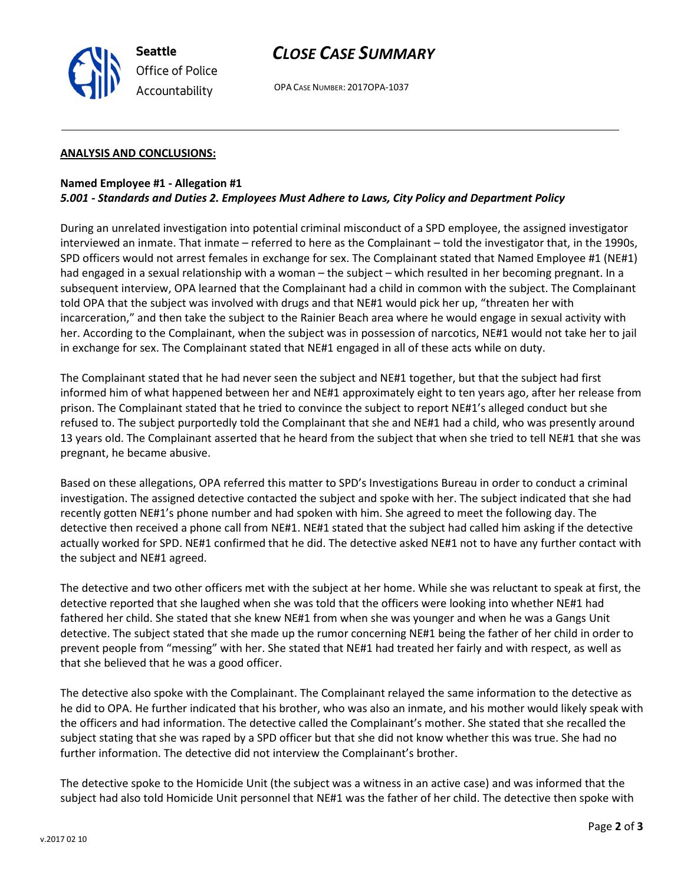

## CLOSE CASE SUMMARY

OPA CASE NUMBER: 2017OPA-1037

### ANALYSIS AND CONCLUSIONS:

### Named Employee #1 - Allegation #1 5.001 - Standards and Duties 2. Employees Must Adhere to Laws, City Policy and Department Policy

During an unrelated investigation into potential criminal misconduct of a SPD employee, the assigned investigator interviewed an inmate. That inmate – referred to here as the Complainant – told the investigator that, in the 1990s, SPD officers would not arrest females in exchange for sex. The Complainant stated that Named Employee #1 (NE#1) had engaged in a sexual relationship with a woman – the subject – which resulted in her becoming pregnant. In a subsequent interview, OPA learned that the Complainant had a child in common with the subject. The Complainant told OPA that the subject was involved with drugs and that NE#1 would pick her up, "threaten her with incarceration," and then take the subject to the Rainier Beach area where he would engage in sexual activity with her. According to the Complainant, when the subject was in possession of narcotics, NE#1 would not take her to jail in exchange for sex. The Complainant stated that NE#1 engaged in all of these acts while on duty.

The Complainant stated that he had never seen the subject and NE#1 together, but that the subject had first informed him of what happened between her and NE#1 approximately eight to ten years ago, after her release from prison. The Complainant stated that he tried to convince the subject to report NE#1's alleged conduct but she refused to. The subject purportedly told the Complainant that she and NE#1 had a child, who was presently around 13 years old. The Complainant asserted that he heard from the subject that when she tried to tell NE#1 that she was pregnant, he became abusive.

Based on these allegations, OPA referred this matter to SPD's Investigations Bureau in order to conduct a criminal investigation. The assigned detective contacted the subject and spoke with her. The subject indicated that she had recently gotten NE#1's phone number and had spoken with him. She agreed to meet the following day. The detective then received a phone call from NE#1. NE#1 stated that the subject had called him asking if the detective actually worked for SPD. NE#1 confirmed that he did. The detective asked NE#1 not to have any further contact with the subject and NE#1 agreed.

The detective and two other officers met with the subject at her home. While she was reluctant to speak at first, the detective reported that she laughed when she was told that the officers were looking into whether NE#1 had fathered her child. She stated that she knew NE#1 from when she was younger and when he was a Gangs Unit detective. The subject stated that she made up the rumor concerning NE#1 being the father of her child in order to prevent people from "messing" with her. She stated that NE#1 had treated her fairly and with respect, as well as that she believed that he was a good officer.

The detective also spoke with the Complainant. The Complainant relayed the same information to the detective as he did to OPA. He further indicated that his brother, who was also an inmate, and his mother would likely speak with the officers and had information. The detective called the Complainant's mother. She stated that she recalled the subject stating that she was raped by a SPD officer but that she did not know whether this was true. She had no further information. The detective did not interview the Complainant's brother.

The detective spoke to the Homicide Unit (the subject was a witness in an active case) and was informed that the subject had also told Homicide Unit personnel that NE#1 was the father of her child. The detective then spoke with